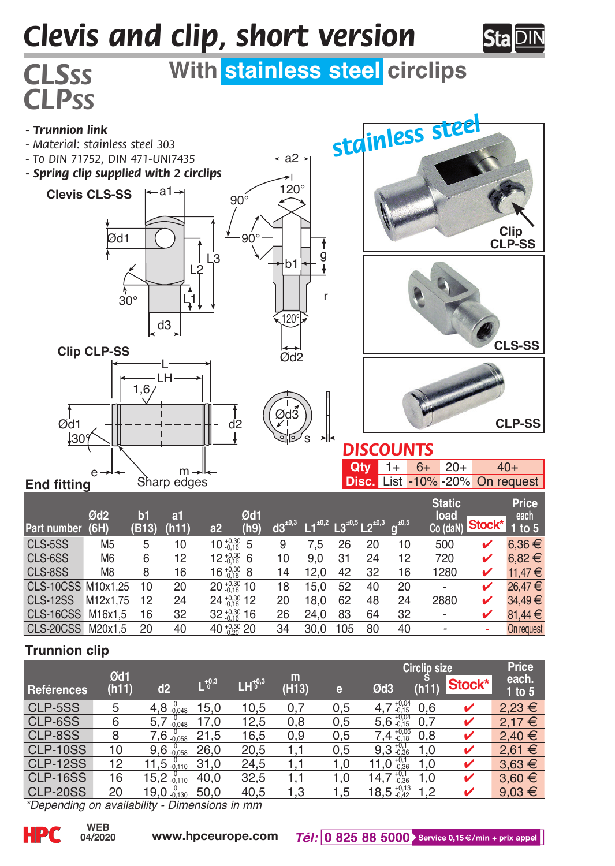## *Clevis and clip, short version*



## *CLSss* **With stainless steel circlips**



| Part number,       | Ød <sub>2</sub><br>(6H) | b1<br>(B13) | a1<br>(h11) | a2                        | Ød1<br>(h9) |    | $1^{10,2}$ | $L3^{10,5} L2^{10,3}$ |    | $g^{\pm0,5}$ | <b>Static</b><br>load<br>Co (daN) | Stock* | <b>Price</b><br>each<br>1 to 5 |
|--------------------|-------------------------|-------------|-------------|---------------------------|-------------|----|------------|-----------------------|----|--------------|-----------------------------------|--------|--------------------------------|
| CLS-5SS            | M <sub>5</sub>          | 5           | 10          | $10^{+0.30}_{-0.16}$ 5    |             | 9  | 7.5        | 26                    | 20 | 10           | 500                               | v      | $6.36 \in$                     |
| CLS-6SS            | M <sub>6</sub>          | 6           | 12          | $12 \frac{+0.30}{16}$ 6   |             | 10 | 9.0        | 31                    | 24 | 12           | 720                               | v      | $6.82 \in$                     |
| CLS-8SS            | M <sub>8</sub>          | 8           | 16          | $16 \frac{+0.30}{0.16}$ 8 |             | 14 | 12.0       | 42                    | 32 | 16           | 1280                              | v      | 11.47 $€$                      |
| CLS-10CSS M10x1.25 |                         | 10          | 20          | 20 ** 10                  |             | 18 | 15.0       | 52                    | 40 | 20           | $\blacksquare$                    | v      | 26.47€                         |
| <b>CLS-12SS</b>    | M12x1.75                | 12          | 24          | 24 10.30 12               |             | 20 | 18.0       | 62                    | 48 | 24           | 2880                              | v      | 34.49€                         |
| CLS-16CSS          | M16x1.5                 | 16          | 32          | $32^{+0.30}_{-0.16}$ 16   |             | 26 | 24.0       | 83                    | 64 | 32           | $\overline{\phantom{a}}$          |        | 81.44 $\in$                    |
| CLS-20CSS          | M20x1.5                 | 20          | 40          | 40 1050 20                |             | 34 | 30.0       | 105                   | 80 | 40           | ۰                                 | ٠      | On request                     |

## **Trunnion clip**

*CLPss*

|                 |              |                 |                |           |            |     | <b>Circlip size</b>    | Price |        |                 |  |
|-----------------|--------------|-----------------|----------------|-----------|------------|-----|------------------------|-------|--------|-----------------|--|
| Reférences      | Ød1<br>(h11) | d2              | $L^{+0,3}_{0}$ | $LH0+0.3$ | m<br>(H13) | e   | Ød3                    | (h11) | Stock* | each.<br>1 to 5 |  |
| CLP-5SS         | 5            | 4,8.0048        | 15.0           | 10,5      | 0.7        | 0,5 | $4,7^{+0,04}_{-0.15}$  | 0.6   |        | $2,23 \in$      |  |
| CLP-6SS         | 6            | $5,7_{-0.048}$  | 17.0           | 12,5      | 0,8        | 0,5 | $5,6^{+0,04}_{-0.15}$  | 0.7   | ✓      | 2.17€           |  |
| CLP-8SS         | 8            | $7,6_{-0.058}$  | 21.5           | 16,5      | 0.9        | 0,5 | $7,4^{+0,06}_{-0.18}$  | 0.8   | v      | 2.40 €          |  |
| <b>CLP-10SS</b> | 10           | 9,6.0058        | 26.0           | 20,5      |            | 0,5 | $9,3_{-0.36}^{+0.1}$   | 1.0   |        | $2.61 \t∈$      |  |
| <b>CLP-12SS</b> | 12           | $11.5_{-0.110}$ | 31.0           | 24.5      |            | 1.0 | 11,0 $^{+0,1}_{-0.36}$ | 1.0   | ✓      | $3.63 \in$      |  |
| <b>CLP-16SS</b> | 16           | $15,2_{0.110}$  | 40.0           | 32.5      |            | 1.0 | $14.7_{-0.36}^{+0.1}$  | 1.0   | v      | $3.60 \in$      |  |
| <b>CLP-20SS</b> | 20           | $19.0_{-0.130}$ | 50.0           | 40,5      | 1,3        | 1,5 | $18.5^{+0.13}_{-0.42}$ | 1.2   |        | $9.03 \in$      |  |
| $\frac{1}{2}$   |              |                 |                |           |            |     |                        |       |        |                 |  |

*\*Depending on availability - Dimensions in mm*

**04/2020**